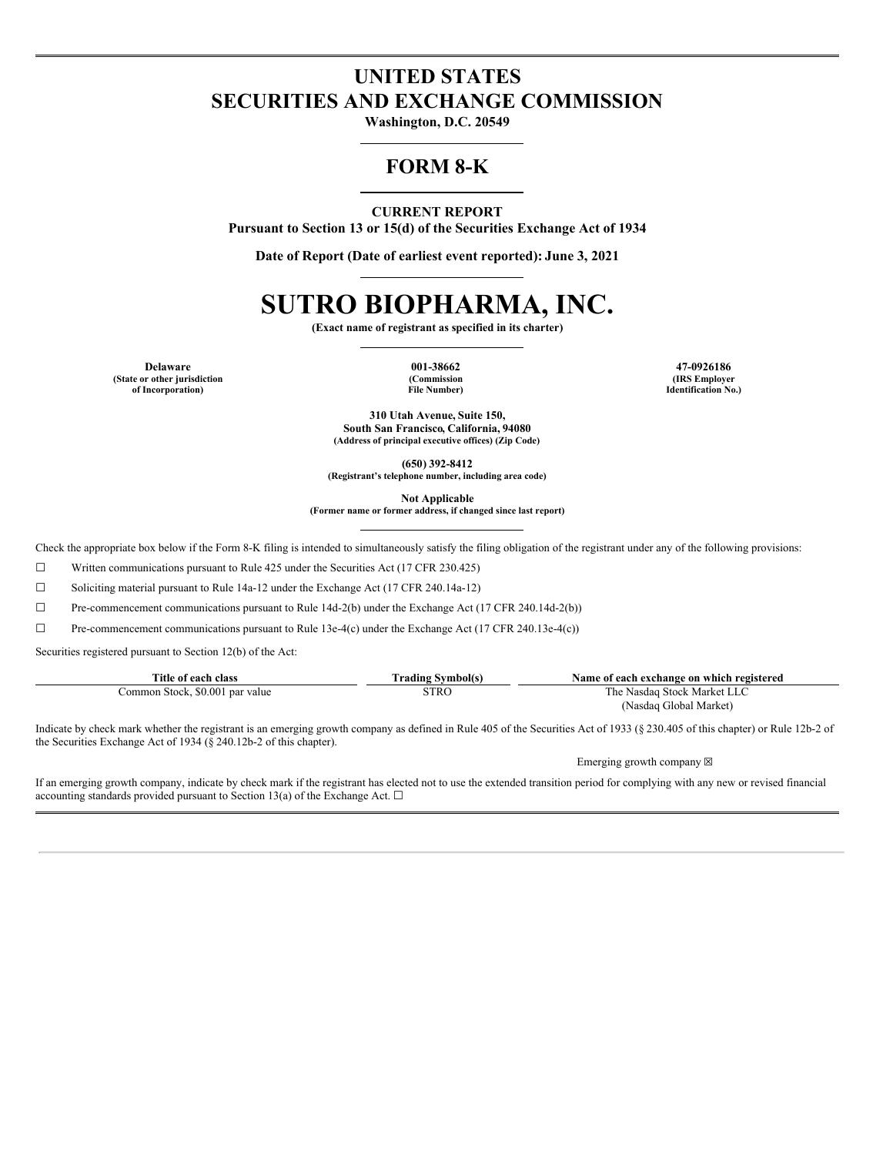## **UNITED STATES SECURITIES AND EXCHANGE COMMISSION**

**Washington, D.C. 20549**

### **FORM 8-K**

#### **CURRENT REPORT**

**Pursuant to Section 13 or 15(d) of the Securities Exchange Act of 1934**

**Date of Report (Date of earliest event reported): June 3, 2021**

# **SUTRO BIOPHARMA, INC.**

**(Exact name of registrant as specified in its charter)**

**Delaware 001-38662 47-0926186 (State or other jurisdiction of Incorporation)**

**(Commission File Number)**

**(IRS Employer Identification No.)**

**310 Utah Avenue, Suite 150, South San Francisco, California, 94080 (Address of principal executive offices) (Zip Code)**

**(650) 392-8412**

**(Registrant's telephone number, including area code)**

**Not Applicable**

**(Former name or former address, if changed since last report)**

Check the appropriate box below if the Form 8-K filing is intended to simultaneously satisfy the filing obligation of the registrant under any of the following provisions:

☐ Written communications pursuant to Rule 425 under the Securities Act (17 CFR 230.425)

☐ Soliciting material pursuant to Rule 14a-12 under the Exchange Act (17 CFR 240.14a-12)

 $\Box$  Pre-commencement communications pursuant to Rule 14d-2(b) under the Exchange Act (17 CFR 240.14d-2(b))

 $\Box$  Pre-commencement communications pursuant to Rule 13e-4(c) under the Exchange Act (17 CFR 240.13e-4(c))

Securities registered pursuant to Section 12(b) of the Act:

| Title of each class                  | Symbol(s)<br>rading   | Name of each exchange on which registered |
|--------------------------------------|-----------------------|-------------------------------------------|
| \$0.001 par value<br>Stock.<br>ommon | STRC<br>$\sim$ $\sim$ | i Stock Market I<br>I'he<br>Nasdag        |
|                                      |                       | (Nasdag Global Market).                   |

Indicate by check mark whether the registrant is an emerging growth company as defined in Rule 405 of the Securities Act of 1933 (§ 230.405 of this chapter) or Rule 12b-2 of the Securities Exchange Act of 1934 (§ 240.12b-2 of this chapter).

Emerging growth company  $\boxtimes$ 

If an emerging growth company, indicate by check mark if the registrant has elected not to use the extended transition period for complying with any new or revised financial accounting standards provided pursuant to Section 13(a) of the Exchange Act.  $\Box$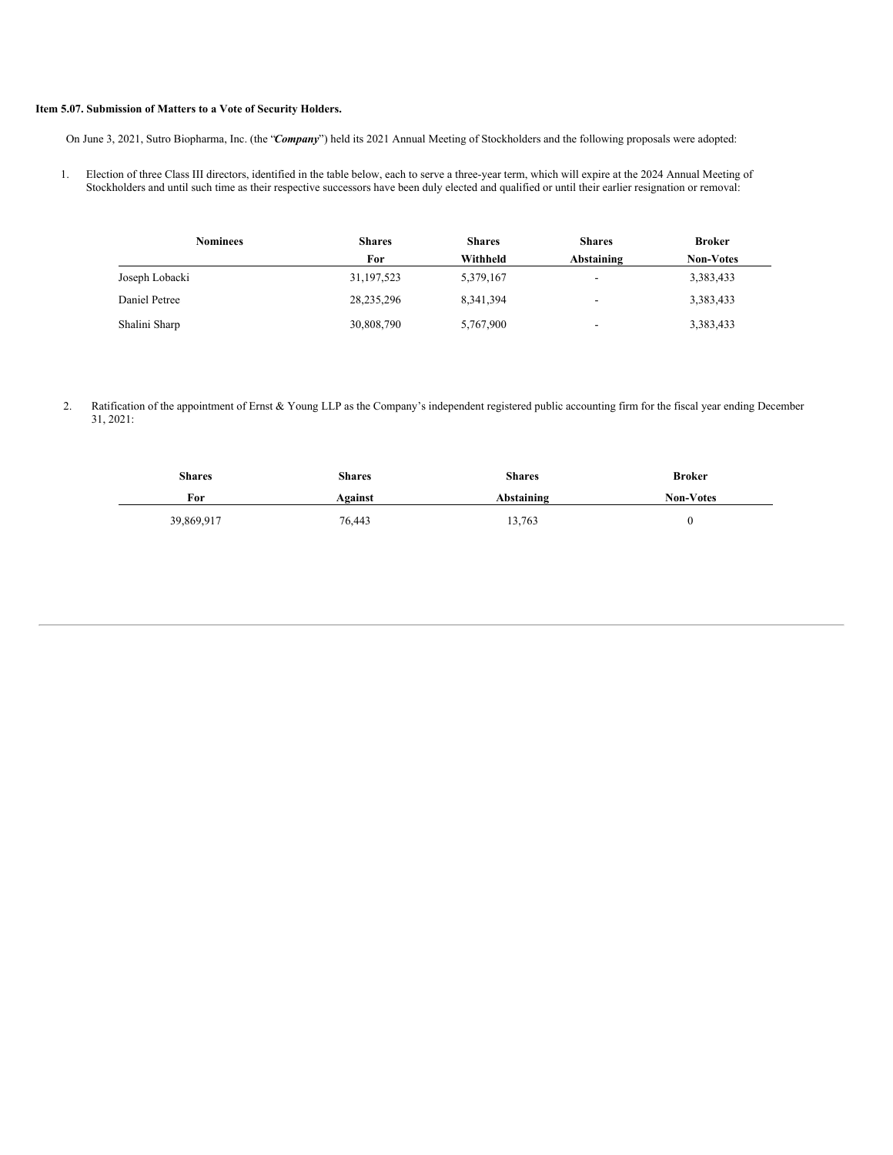### **Item 5.07. Submission of Matters to a Vote of Security Holders.**

On June 3, 2021, Sutro Biopharma, Inc. (the "*Company*") held its 2021 Annual Meeting of Stockholders and the following proposals were adopted:

1. Election of three Class III directors, identified in the table below, each to serve a three-year term, which will expire at the 2024 Annual Meeting of Stockholders and until such time as their respective successors have been duly elected and qualified or until their earlier resignation or removal:

| <b>Nominees</b> | <b>Shares</b> | <b>Shares</b> | <b>Shares</b>            | <b>Broker</b>    |
|-----------------|---------------|---------------|--------------------------|------------------|
|                 | For           | Withheld      | Abstaining               | <b>Non-Votes</b> |
| Joseph Lobacki  | 31, 197, 523  | 5,379,167     | $\overline{\phantom{a}}$ | 3,383,433        |
| Daniel Petree   | 28, 235, 296  | 8,341,394     | $\overline{\phantom{a}}$ | 3,383,433        |
| Shalini Sharp   | 30,808,790    | 5,767,900     | $\overline{\phantom{0}}$ | 3,383,433        |

2. Ratification of the appointment of Ernst & Young LLP as the Company's independent registered public accounting firm for the fiscal year ending December 31, 2021:

| <b>Shares</b> | <b>Shares</b> | <b>Shares</b> | <b>Broker</b>    |
|---------------|---------------|---------------|------------------|
| For           | Against       | Abstaining    | <b>Non-Votes</b> |
| 39,869,917    | 76,443        | 13,763        |                  |